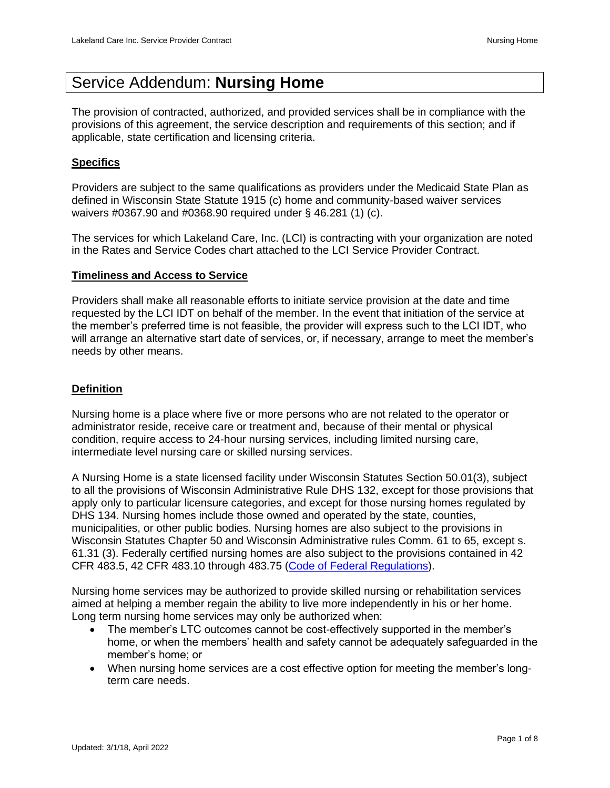# Service Addendum: **Nursing Home**

The provision of contracted, authorized, and provided services shall be in compliance with the provisions of this agreement, the service description and requirements of this section; and if applicable, state certification and licensing criteria.

# **Specifics**

Providers are subject to the same qualifications as providers under the Medicaid State Plan as defined in Wisconsin State Statute 1915 (c) home and community-based waiver services waivers #0367.90 and #0368.90 required under § 46.281 (1) (c).

The services for which Lakeland Care, Inc. (LCI) is contracting with your organization are noted in the Rates and Service Codes chart attached to the LCI Service Provider Contract.

## **Timeliness and Access to Service**

Providers shall make all reasonable efforts to initiate service provision at the date and time requested by the LCI IDT on behalf of the member. In the event that initiation of the service at the member's preferred time is not feasible, the provider will express such to the LCI IDT, who will arrange an alternative start date of services, or, if necessary, arrange to meet the member's needs by other means.

## **Definition**

Nursing home is a place where five or more persons who are not related to the operator or administrator reside, receive care or treatment and, because of their mental or physical condition, require access to 24-hour nursing services, including limited nursing care, intermediate level nursing care or skilled nursing services.

A Nursing Home is a state licensed facility under Wisconsin Statutes Section 50.01(3), subject to all the provisions of Wisconsin Administrative Rule DHS 132, except for those provisions that apply only to particular licensure categories, and except for those nursing homes regulated by DHS 134. Nursing homes include those owned and operated by the state, counties, municipalities, or other public bodies. Nursing homes are also subject to the provisions in Wisconsin Statutes Chapter 50 and Wisconsin Administrative rules Comm. 61 to 65, except s. 61.31 (3). Federally certified nursing homes are also subject to the provisions contained in 42 CFR 483.5, 42 CFR 483.10 through 483.75 [\(Code of Federal Regulations\)](http://www.access.gpo.gov/nara/cfr/cfr-table-search.html).

Nursing home services may be authorized to provide skilled nursing or rehabilitation services aimed at helping a member regain the ability to live more independently in his or her home. Long term nursing home services may only be authorized when:

- The member's LTC outcomes cannot be cost-effectively supported in the member's home, or when the members' health and safety cannot be adequately safeguarded in the member's home; or
- When nursing home services are a cost effective option for meeting the member's longterm care needs.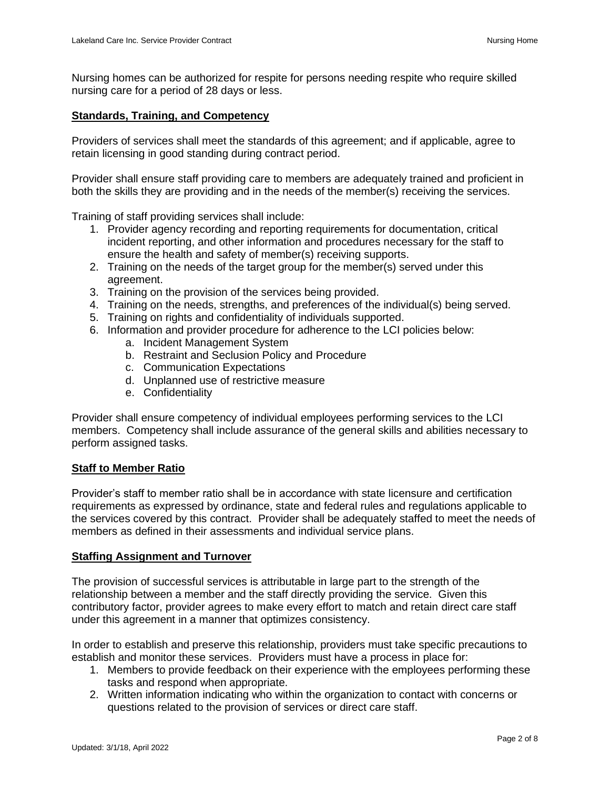Nursing homes can be authorized for respite for persons needing respite who require skilled nursing care for a period of 28 days or less.

# **Standards, Training, and Competency**

Providers of services shall meet the standards of this agreement; and if applicable, agree to retain licensing in good standing during contract period.

Provider shall ensure staff providing care to members are adequately trained and proficient in both the skills they are providing and in the needs of the member(s) receiving the services.

Training of staff providing services shall include:

- 1. Provider agency recording and reporting requirements for documentation, critical incident reporting, and other information and procedures necessary for the staff to ensure the health and safety of member(s) receiving supports.
- 2. Training on the needs of the target group for the member(s) served under this agreement.
- 3. Training on the provision of the services being provided.
- 4. Training on the needs, strengths, and preferences of the individual(s) being served.
- 5. Training on rights and confidentiality of individuals supported.
- 6. Information and provider procedure for adherence to the LCI policies below:
	- a. Incident Management System
	- b. Restraint and Seclusion Policy and Procedure
	- c. Communication Expectations
	- d. Unplanned use of restrictive measure
	- e. Confidentiality

Provider shall ensure competency of individual employees performing services to the LCI members. Competency shall include assurance of the general skills and abilities necessary to perform assigned tasks.

## **Staff to Member Ratio**

Provider's staff to member ratio shall be in accordance with state licensure and certification requirements as expressed by ordinance, state and federal rules and regulations applicable to the services covered by this contract. Provider shall be adequately staffed to meet the needs of members as defined in their assessments and individual service plans.

## **Staffing Assignment and Turnover**

The provision of successful services is attributable in large part to the strength of the relationship between a member and the staff directly providing the service. Given this contributory factor, provider agrees to make every effort to match and retain direct care staff under this agreement in a manner that optimizes consistency.

In order to establish and preserve this relationship, providers must take specific precautions to establish and monitor these services. Providers must have a process in place for:

- 1. Members to provide feedback on their experience with the employees performing these tasks and respond when appropriate.
- 2. Written information indicating who within the organization to contact with concerns or questions related to the provision of services or direct care staff.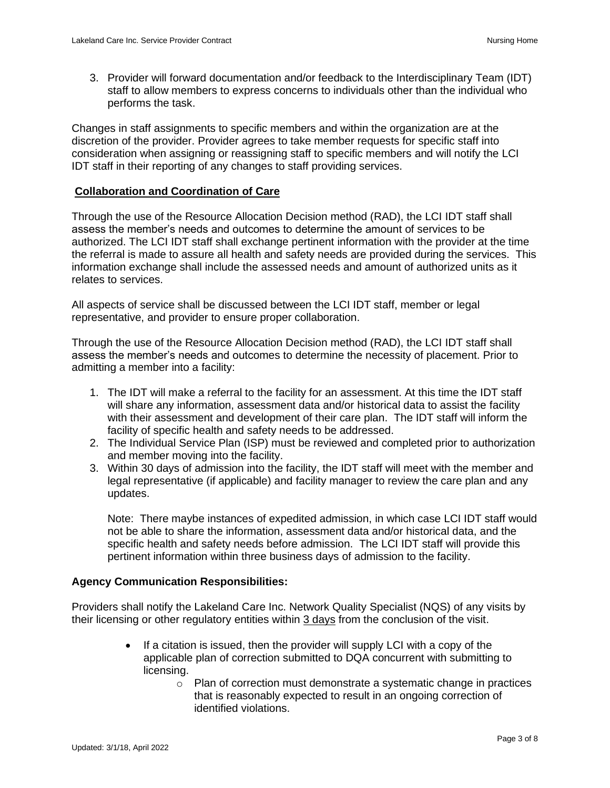3. Provider will forward documentation and/or feedback to the Interdisciplinary Team (IDT) staff to allow members to express concerns to individuals other than the individual who performs the task.

Changes in staff assignments to specific members and within the organization are at the discretion of the provider. Provider agrees to take member requests for specific staff into consideration when assigning or reassigning staff to specific members and will notify the LCI IDT staff in their reporting of any changes to staff providing services.

# **Collaboration and Coordination of Care**

Through the use of the Resource Allocation Decision method (RAD), the LCI IDT staff shall assess the member's needs and outcomes to determine the amount of services to be authorized. The LCI IDT staff shall exchange pertinent information with the provider at the time the referral is made to assure all health and safety needs are provided during the services. This information exchange shall include the assessed needs and amount of authorized units as it relates to services.

All aspects of service shall be discussed between the LCI IDT staff, member or legal representative, and provider to ensure proper collaboration.

Through the use of the Resource Allocation Decision method (RAD), the LCI IDT staff shall assess the member's needs and outcomes to determine the necessity of placement. Prior to admitting a member into a facility:

- 1. The IDT will make a referral to the facility for an assessment. At this time the IDT staff will share any information, assessment data and/or historical data to assist the facility with their assessment and development of their care plan. The IDT staff will inform the facility of specific health and safety needs to be addressed.
- 2. The Individual Service Plan (ISP) must be reviewed and completed prior to authorization and member moving into the facility.
- 3. Within 30 days of admission into the facility, the IDT staff will meet with the member and legal representative (if applicable) and facility manager to review the care plan and any updates.

Note: There maybe instances of expedited admission, in which case LCI IDT staff would not be able to share the information, assessment data and/or historical data, and the specific health and safety needs before admission. The LCI IDT staff will provide this pertinent information within three business days of admission to the facility.

## **Agency Communication Responsibilities:**

Providers shall notify the Lakeland Care Inc. Network Quality Specialist (NQS) of any visits by their licensing or other regulatory entities within 3 days from the conclusion of the visit.

- If a citation is issued, then the provider will supply LCI with a copy of the applicable plan of correction submitted to DQA concurrent with submitting to licensing.
	- $\circ$  Plan of correction must demonstrate a systematic change in practices that is reasonably expected to result in an ongoing correction of identified violations.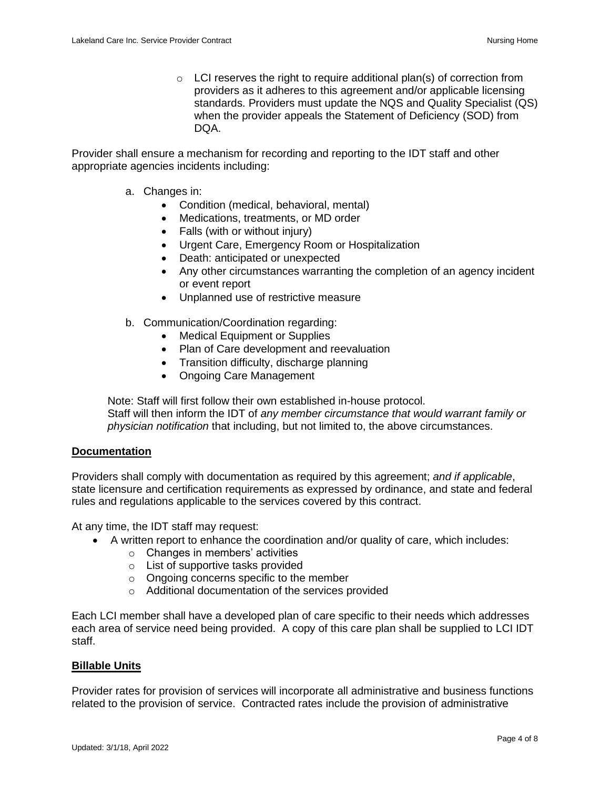$\circ$  LCI reserves the right to require additional plan(s) of correction from providers as it adheres to this agreement and/or applicable licensing standards. Providers must update the NQS and Quality Specialist (QS) when the provider appeals the Statement of Deficiency (SOD) from DQA.

Provider shall ensure a mechanism for recording and reporting to the IDT staff and other appropriate agencies incidents including:

- a. Changes in:
	- Condition (medical, behavioral, mental)
	- Medications, treatments, or MD order
	- Falls (with or without injury)
	- Urgent Care, Emergency Room or Hospitalization
	- Death: anticipated or unexpected
	- Any other circumstances warranting the completion of an agency incident or event report
	- Unplanned use of restrictive measure
- b. Communication/Coordination regarding:
	- Medical Equipment or Supplies
	- Plan of Care development and reevaluation
	- Transition difficulty, discharge planning
	- Ongoing Care Management

Note: Staff will first follow their own established in-house protocol. Staff will then inform the IDT of *any member circumstance that would warrant family or physician notification* that including, but not limited to, the above circumstances.

#### **Documentation**

Providers shall comply with documentation as required by this agreement; *and if applicable*, state licensure and certification requirements as expressed by ordinance, and state and federal rules and regulations applicable to the services covered by this contract.

At any time, the IDT staff may request:

- A written report to enhance the coordination and/or quality of care, which includes:
	- o Changes in members' activities
	- o List of supportive tasks provided
	- o Ongoing concerns specific to the member
	- o Additional documentation of the services provided

Each LCI member shall have a developed plan of care specific to their needs which addresses each area of service need being provided. A copy of this care plan shall be supplied to LCI IDT staff.

#### **Billable Units**

Provider rates for provision of services will incorporate all administrative and business functions related to the provision of service. Contracted rates include the provision of administrative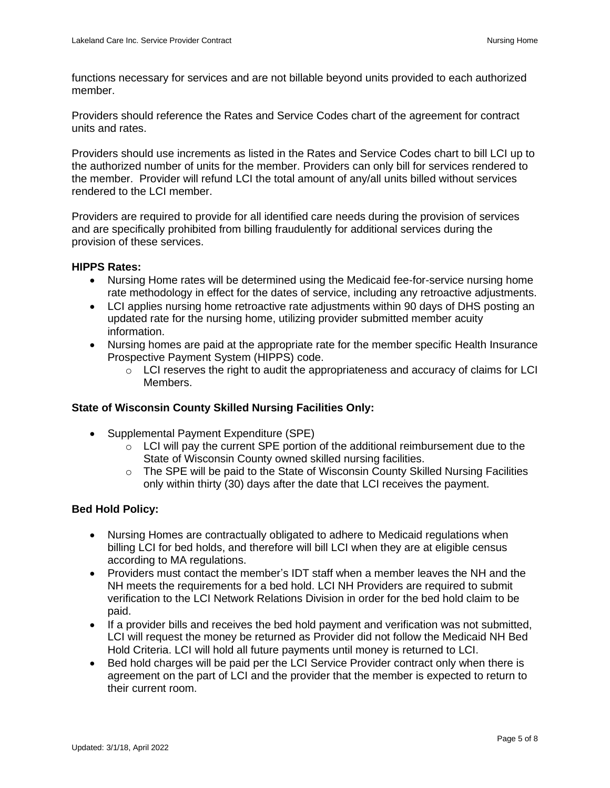functions necessary for services and are not billable beyond units provided to each authorized member.

Providers should reference the Rates and Service Codes chart of the agreement for contract units and rates.

Providers should use increments as listed in the Rates and Service Codes chart to bill LCI up to the authorized number of units for the member. Providers can only bill for services rendered to the member. Provider will refund LCI the total amount of any/all units billed without services rendered to the LCI member.

Providers are required to provide for all identified care needs during the provision of services and are specifically prohibited from billing fraudulently for additional services during the provision of these services.

## **HIPPS Rates:**

- Nursing Home rates will be determined using the Medicaid fee-for-service nursing home rate methodology in effect for the dates of service, including any retroactive adjustments.
- LCI applies nursing home retroactive rate adjustments within 90 days of DHS posting an updated rate for the nursing home, utilizing provider submitted member acuity information.
- Nursing homes are paid at the appropriate rate for the member specific Health Insurance Prospective Payment System (HIPPS) code.
	- $\circ$  LCI reserves the right to audit the appropriateness and accuracy of claims for LCI Members.

# **State of Wisconsin County Skilled Nursing Facilities Only:**

- Supplemental Payment Expenditure (SPE)
	- $\circ$  LCI will pay the current SPE portion of the additional reimbursement due to the State of Wisconsin County owned skilled nursing facilities.
	- o The SPE will be paid to the State of Wisconsin County Skilled Nursing Facilities only within thirty (30) days after the date that LCI receives the payment.

# **Bed Hold Policy:**

- Nursing Homes are contractually obligated to adhere to Medicaid regulations when billing LCI for bed holds, and therefore will bill LCI when they are at eligible census according to MA regulations.
- Providers must contact the member's IDT staff when a member leaves the NH and the NH meets the requirements for a bed hold. LCI NH Providers are required to submit verification to the LCI Network Relations Division in order for the bed hold claim to be paid.
- If a provider bills and receives the bed hold payment and verification was not submitted, LCI will request the money be returned as Provider did not follow the Medicaid NH Bed Hold Criteria. LCI will hold all future payments until money is returned to LCI.
- Bed hold charges will be paid per the LCI Service Provider contract only when there is agreement on the part of LCI and the provider that the member is expected to return to their current room.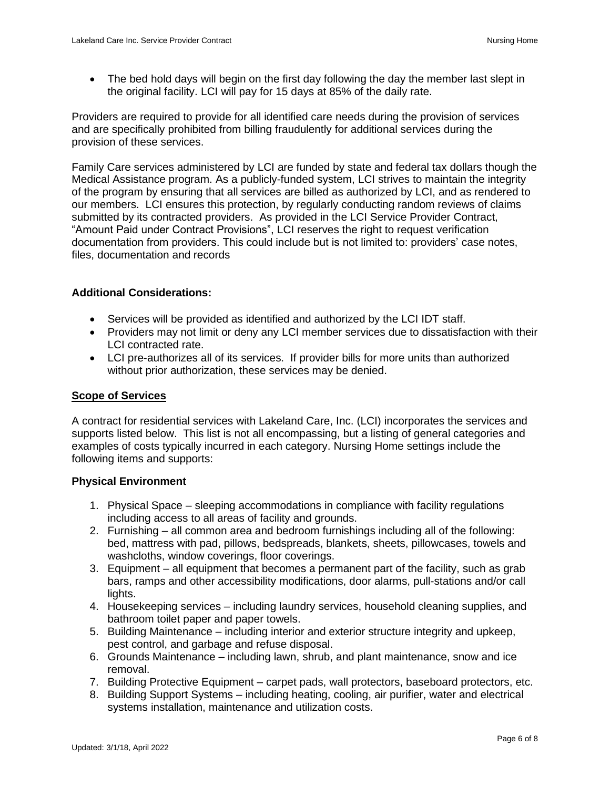• The bed hold days will begin on the first day following the day the member last slept in the original facility. LCI will pay for 15 days at 85% of the daily rate.

Providers are required to provide for all identified care needs during the provision of services and are specifically prohibited from billing fraudulently for additional services during the provision of these services.

Family Care services administered by LCI are funded by state and federal tax dollars though the Medical Assistance program. As a publicly-funded system, LCI strives to maintain the integrity of the program by ensuring that all services are billed as authorized by LCI, and as rendered to our members. LCI ensures this protection, by regularly conducting random reviews of claims submitted by its contracted providers. As provided in the LCI Service Provider Contract, "Amount Paid under Contract Provisions", LCI reserves the right to request verification documentation from providers. This could include but is not limited to: providers' case notes, files, documentation and records

# **Additional Considerations:**

- Services will be provided as identified and authorized by the LCI IDT staff.
- Providers may not limit or deny any LCI member services due to dissatisfaction with their LCI contracted rate.
- LCI pre-authorizes all of its services. If provider bills for more units than authorized without prior authorization, these services may be denied.

# **Scope of Services**

A contract for residential services with Lakeland Care, Inc. (LCI) incorporates the services and supports listed below. This list is not all encompassing, but a listing of general categories and examples of costs typically incurred in each category. Nursing Home settings include the following items and supports:

# **Physical Environment**

- 1. Physical Space sleeping accommodations in compliance with facility regulations including access to all areas of facility and grounds.
- 2. Furnishing all common area and bedroom furnishings including all of the following: bed, mattress with pad, pillows, bedspreads, blankets, sheets, pillowcases, towels and washcloths, window coverings, floor coverings.
- 3. Equipment all equipment that becomes a permanent part of the facility, such as grab bars, ramps and other accessibility modifications, door alarms, pull-stations and/or call lights.
- 4. Housekeeping services including laundry services, household cleaning supplies, and bathroom toilet paper and paper towels.
- 5. Building Maintenance including interior and exterior structure integrity and upkeep, pest control, and garbage and refuse disposal.
- 6. Grounds Maintenance including lawn, shrub, and plant maintenance, snow and ice removal.
- 7. Building Protective Equipment carpet pads, wall protectors, baseboard protectors, etc.
- 8. Building Support Systems including heating, cooling, air purifier, water and electrical systems installation, maintenance and utilization costs.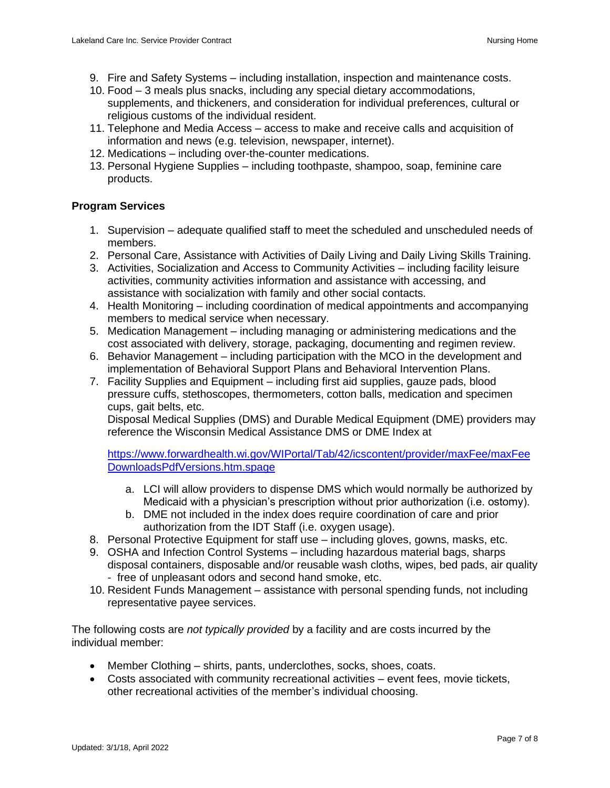- 9. Fire and Safety Systems including installation, inspection and maintenance costs.
- 10. Food 3 meals plus snacks, including any special dietary accommodations, supplements, and thickeners, and consideration for individual preferences, cultural or religious customs of the individual resident.
- 11. Telephone and Media Access access to make and receive calls and acquisition of information and news (e.g. television, newspaper, internet).
- 12. Medications including over-the-counter medications.
- 13. Personal Hygiene Supplies including toothpaste, shampoo, soap, feminine care products.

# **Program Services**

- 1. Supervision adequate qualified staff to meet the scheduled and unscheduled needs of members.
- 2. Personal Care, Assistance with Activities of Daily Living and Daily Living Skills Training.
- 3. Activities, Socialization and Access to Community Activities including facility leisure activities, community activities information and assistance with accessing, and assistance with socialization with family and other social contacts.
- 4. Health Monitoring including coordination of medical appointments and accompanying members to medical service when necessary.
- 5. Medication Management including managing or administering medications and the cost associated with delivery, storage, packaging, documenting and regimen review.
- 6. Behavior Management including participation with the MCO in the development and implementation of Behavioral Support Plans and Behavioral Intervention Plans.
- 7. Facility Supplies and Equipment including first aid supplies, gauze pads, blood pressure cuffs, stethoscopes, thermometers, cotton balls, medication and specimen cups, gait belts, etc.

Disposal Medical Supplies (DMS) and Durable Medical Equipment (DME) providers may reference the Wisconsin Medical Assistance DMS or DME Index at

[https://www.forwardhealth.wi.gov/WIPortal/Tab/42/icscontent/provider/maxFee/maxFee](https://www.forwardhealth.wi.gov/WIPortal/Tab/42/icscontent/provider/maxFee/maxFeeDownloadsPdfVersions.htm.spage) [DownloadsPdfVersions.htm.spage](https://www.forwardhealth.wi.gov/WIPortal/Tab/42/icscontent/provider/maxFee/maxFeeDownloadsPdfVersions.htm.spage)

- a. LCI will allow providers to dispense DMS which would normally be authorized by Medicaid with a physician's prescription without prior authorization (i.e. ostomy).
- b. DME not included in the index does require coordination of care and prior authorization from the IDT Staff (i.e. oxygen usage).
- 8. Personal Protective Equipment for staff use including gloves, gowns, masks, etc.
- 9. OSHA and Infection Control Systems including hazardous material bags, sharps disposal containers, disposable and/or reusable wash cloths, wipes, bed pads, air quality - free of unpleasant odors and second hand smoke, etc.
- 10. Resident Funds Management assistance with personal spending funds, not including representative payee services.

The following costs are *not typically provided* by a facility and are costs incurred by the individual member:

- Member Clothing shirts, pants, underclothes, socks, shoes, coats.
- Costs associated with community recreational activities event fees, movie tickets, other recreational activities of the member's individual choosing.